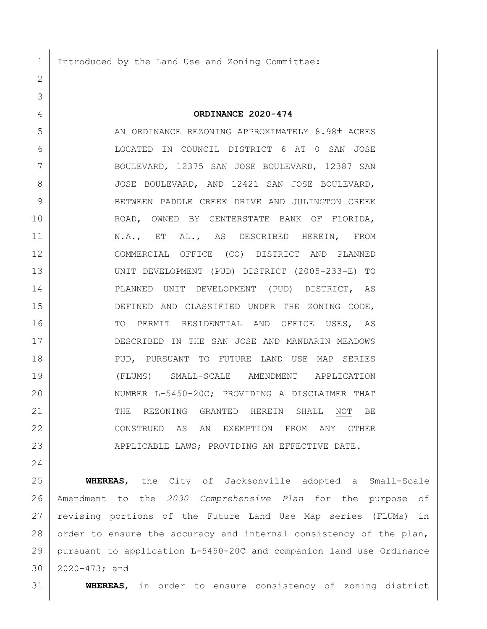1 Introduced by the Land Use and Zoning Committee:

## **ORDINANCE 2020-474**

5 AN ORDINANCE REZONING APPROXIMATELY 8.98± ACRES LOCATED IN COUNCIL DISTRICT 6 AT 0 SAN JOSE BOULEVARD, 12375 SAN JOSE BOULEVARD, 12387 SAN 8 JOSE BOULEVARD, AND 12421 SAN JOSE BOULEVARD, 9 BETWEEN PADDLE CREEK DRIVE AND JULINGTON CREEK ROAD, OWNED BY CENTERSTATE BANK OF FLORIDA, 11 | N.A., ET AL., AS DESCRIBED HEREIN, FROM COMMERCIAL OFFICE (CO) DISTRICT AND PLANNED UNIT DEVELOPMENT (PUD) DISTRICT (2005-233-E) TO PLANNED UNIT DEVELOPMENT (PUD) DISTRICT, AS DEFINED AND CLASSIFIED UNDER THE ZONING CODE, 16 TO PERMIT RESIDENTIAL AND OFFICE USES, AS 17 DESCRIBED IN THE SAN JOSE AND MANDARIN MEADOWS PUD, PURSUANT TO FUTURE LAND USE MAP SERIES (FLUMS) SMALL-SCALE AMENDMENT APPLICATION 20 NUMBER L-5450-20C; PROVIDING A DISCLAIMER THAT 21 THE REZONING GRANTED HEREIN SHALL NOT BE CONSTRUED AS AN EXEMPTION FROM ANY OTHER 23 | APPLICABLE LAWS; PROVIDING AN EFFECTIVE DATE.

 **WHEREAS**, the City of Jacksonville adopted a Small-Scale Amendment to the *2030 Comprehensive Plan* for the purpose of revising portions of the Future Land Use Map series (FLUMs) in 28 order to ensure the accuracy and internal consistency of the plan, pursuant to application L-5450-20C and companion land use Ordinance 2020-473; and

**WHEREAS**, in order to ensure consistency of zoning district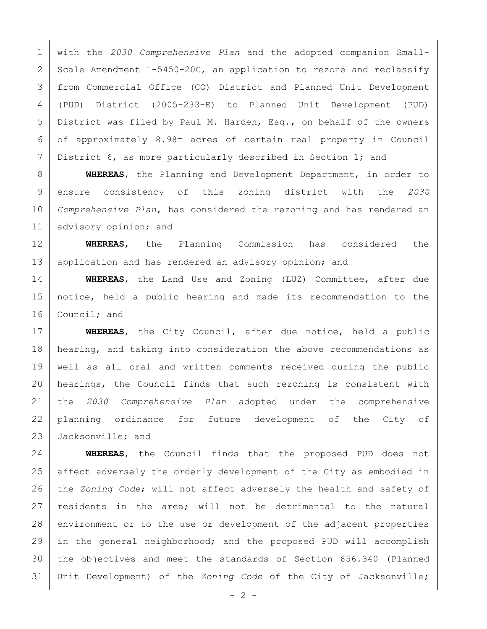with the *2030 Comprehensive Plan* and the adopted companion Small-2 Scale Amendment L-5450-20C, an application to rezone and reclassify from Commercial Office (CO) District and Planned Unit Development (PUD) District (2005-233-E) to Planned Unit Development (PUD) District was filed by Paul M. Harden, Esq., on behalf of the owners of approximately 8.98± acres of certain real property in Council 7 District 6, as more particularly described in Section 1; and

 **WHEREAS**, the Planning and Development Department, in order to ensure consistency of this zoning district with the *2030 Comprehensive Plan*, has considered the rezoning and has rendered an 11 | advisory opinion; and

 **WHEREAS**, the Planning Commission has considered the 13 application and has rendered an advisory opinion; and

 **WHEREAS**, the Land Use and Zoning (LUZ) Committee, after due notice, held a public hearing and made its recommendation to the 16 Council; and

 **WHEREAS**, the City Council, after due notice, held a public 18 | hearing, and taking into consideration the above recommendations as well as all oral and written comments received during the public 20 | hearings, the Council finds that such rezoning is consistent with the *2030 Comprehensive Plan* adopted under the comprehensive planning ordinance for future development of the City of 23 Jacksonville; and

 **WHEREAS**, the Council finds that the proposed PUD does not affect adversely the orderly development of the City as embodied in the *Zoning Code*; will not affect adversely the health and safety of 27 residents in the area; will not be detrimental to the natural 28 environment or to the use or development of the adjacent properties in the general neighborhood; and the proposed PUD will accomplish the objectives and meet the standards of Section 656.340 (Planned Unit Development) of the *Zoning Code* of the City of Jacksonville;

 $- 2 -$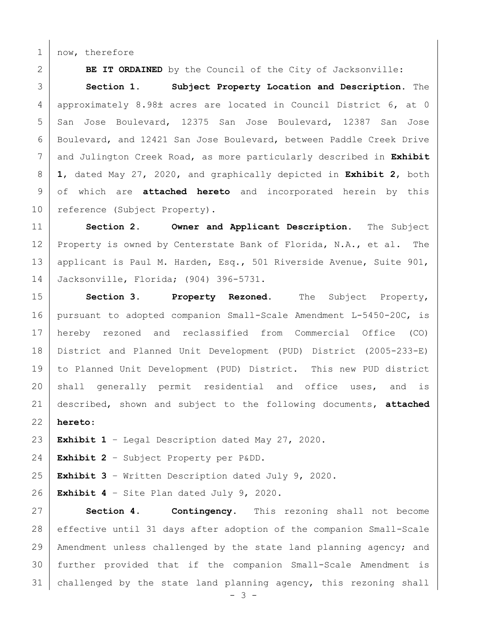1 | now, therefore

**BE IT ORDAINED** by the Council of the City of Jacksonville:

 **Section 1. Subject Property Location and Description.** The 4 approximately 8.98± acres are located in Council District 6, at 0 5 San Jose Boulevard, 12375 San Jose Boulevard, 12387 San Jose Boulevard, and 12421 San Jose Boulevard, between Paddle Creek Drive and Julington Creek Road, as more particularly described in **Exhibit 1**, dated May 27, 2020, and graphically depicted in **Exhibit 2**, both of which are **attached hereto** and incorporated herein by this 10 reference (Subject Property).

 **Section 2. Owner and Applicant Description.** The Subject 12 Property is owned by Centerstate Bank of Florida, N.A., et al. The applicant is Paul M. Harden, Esq., 501 Riverside Avenue, Suite 901, Jacksonville, Florida; (904) 396-5731.

 **Section 3. Property Rezoned.** The Subject Property, pursuant to adopted companion Small-Scale Amendment L-5450-20C, is hereby rezoned and reclassified from Commercial Office (CO) District and Planned Unit Development (PUD) District (2005-233-E) to Planned Unit Development (PUD) District. This new PUD district 20 shall generally permit residential and office uses, and is described, shown and subject to the following documents, **attached hereto**:

**Exhibit 1** – Legal Description dated May 27, 2020.

**Exhibit 2** – Subject Property per P&DD.

**Exhibit 3** – Written Description dated July 9, 2020.

**Exhibit 4** – Site Plan dated July 9, 2020.

 **Section 4. Contingency.** This rezoning shall not become effective until 31 days after adoption of the companion Small-Scale Amendment unless challenged by the state land planning agency; and further provided that if the companion Small-Scale Amendment is challenged by the state land planning agency, this rezoning shall

 $- 3 -$